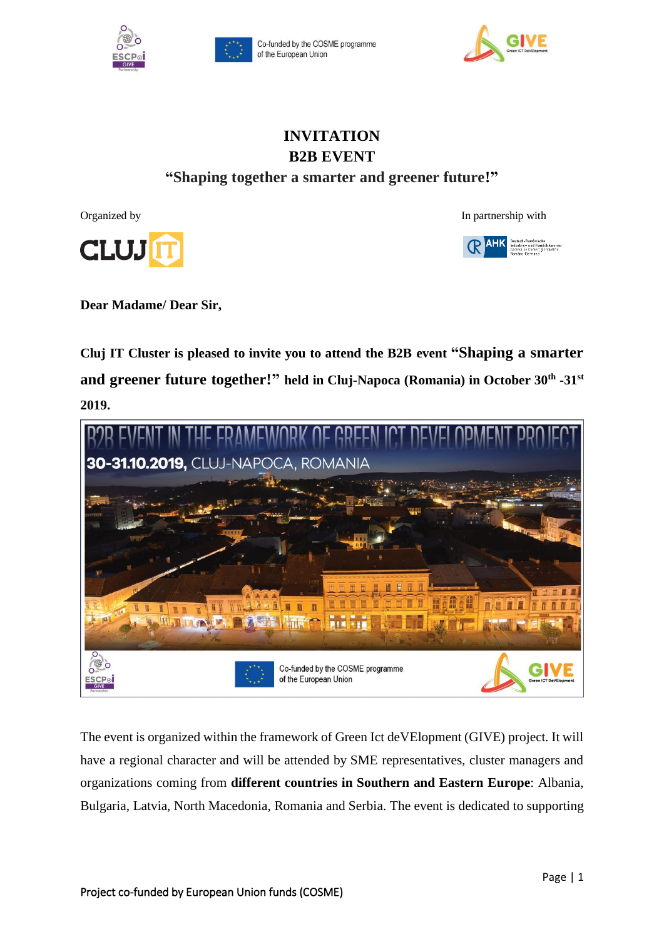





# **INVITATION B2B EVENT "Shaping together a smarter and greener future!"**

**CLUJ** 







**Dear Madame/ Dear Sir,** 

**Cluj IT Cluster is pleased to invite you to attend the B2B event "Shaping a smarter and greener future together!" held in Cluj-Napoca (Romania) in October 30th -31st 2019.** 



The event is organized within the framework of Green Ict deVElopment (GIVE) project. It will have a regional character and will be attended by SME representatives, cluster managers and organizations coming from **different countries in Southern and Eastern Europe**: Albania, Bulgaria, Latvia, North Macedonia, Romania and Serbia. The event is dedicated to supporting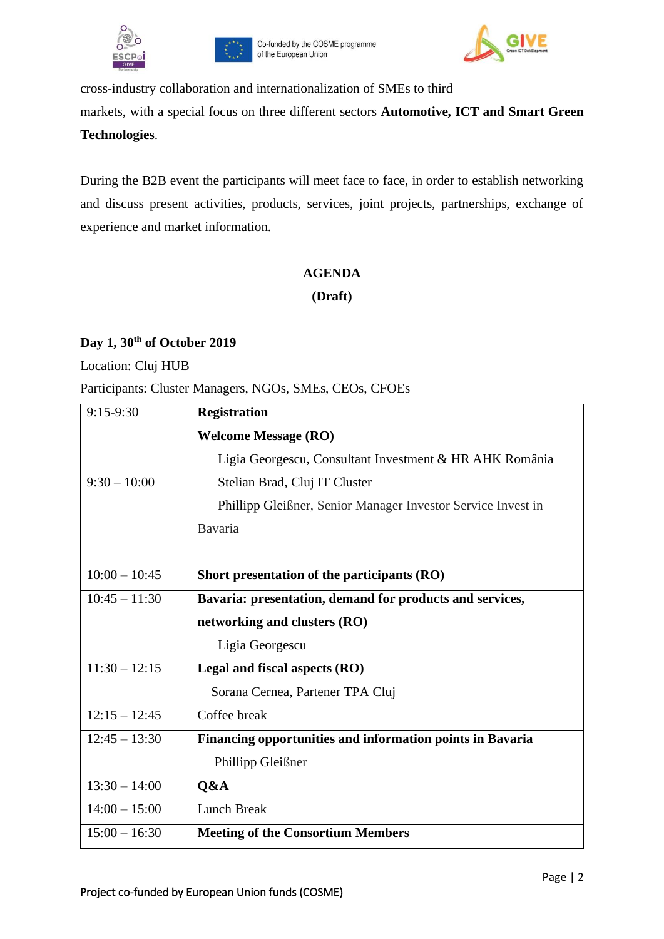



cross-industry collaboration and internationalization of SMEs to third markets, with a special focus on three different sectors **Automotive, ICT and Smart Green Technologies**.

During the B2B event the participants will meet face to face, in order to establish networking and discuss present activities, products, services, joint projects, partnerships, exchange of experience and market information.

#### **AGENDA**

**(Draft)** 

## **Day 1, 30th of October 2019**

Location: Cluj HUB

Participants: Cluster Managers, NGOs, SMEs, CEOs, CFOEs

| $9:15-9:30$     | <b>Registration</b>                                          |
|-----------------|--------------------------------------------------------------|
|                 | <b>Welcome Message (RO)</b>                                  |
|                 | Ligia Georgescu, Consultant Investment & HR AHK România      |
| $9:30 - 10:00$  | Stelian Brad, Cluj IT Cluster                                |
|                 | Phillipp Gleißner, Senior Manager Investor Service Invest in |
|                 | Bavaria                                                      |
|                 |                                                              |
| $10:00 - 10:45$ | Short presentation of the participants (RO)                  |
| $10:45 - 11:30$ | Bavaria: presentation, demand for products and services,     |
|                 | networking and clusters (RO)                                 |
|                 | Ligia Georgescu                                              |
| $11:30 - 12:15$ | Legal and fiscal aspects (RO)                                |
|                 | Sorana Cernea, Partener TPA Cluj                             |
| $12:15 - 12:45$ | Coffee break                                                 |
| $12:45 - 13:30$ | Financing opportunities and information points in Bavaria    |
|                 | Phillipp Gleißner                                            |
| $13:30 - 14:00$ | Q&A                                                          |
| $14:00 - 15:00$ | <b>Lunch Break</b>                                           |
| $15:00 - 16:30$ | <b>Meeting of the Consortium Members</b>                     |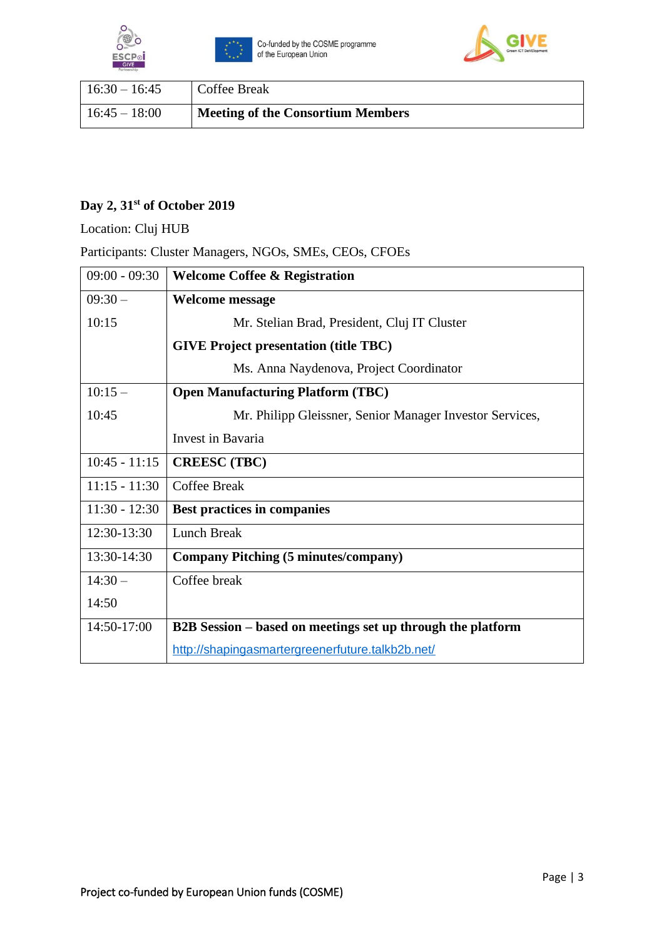





| $16:30 - 16:45$ | <b>Coffee Break</b>                      |
|-----------------|------------------------------------------|
| $16:45 - 18:00$ | <b>Meeting of the Consortium Members</b> |

## **Day 2, 31st of October 2019**

Location: Cluj HUB

## Participants: Cluster Managers, NGOs, SMEs, CEOs, CFOEs

| $09:00 - 09:30$ | <b>Welcome Coffee &amp; Registration</b>                    |
|-----------------|-------------------------------------------------------------|
| $09:30-$        | <b>Welcome message</b>                                      |
| 10:15           | Mr. Stelian Brad, President, Cluj IT Cluster                |
|                 | <b>GIVE Project presentation (title TBC)</b>                |
|                 | Ms. Anna Naydenova, Project Coordinator                     |
| $10:15-$        | <b>Open Manufacturing Platform (TBC)</b>                    |
| 10:45           | Mr. Philipp Gleissner, Senior Manager Investor Services,    |
|                 | Invest in Bavaria                                           |
| $10:45 - 11:15$ | <b>CREESC</b> (TBC)                                         |
| $11:15 - 11:30$ | Coffee Break                                                |
| $11:30 - 12:30$ | Best practices in companies                                 |
| 12:30-13:30     | <b>Lunch Break</b>                                          |
| 13:30-14:30     | <b>Company Pitching (5 minutes/company)</b>                 |
| $14:30-$        | Coffee break                                                |
| 14:50           |                                                             |
| 14:50-17:00     | B2B Session – based on meetings set up through the platform |
|                 | http://shapingasmartergreenerfuture.talkb2b.net/            |